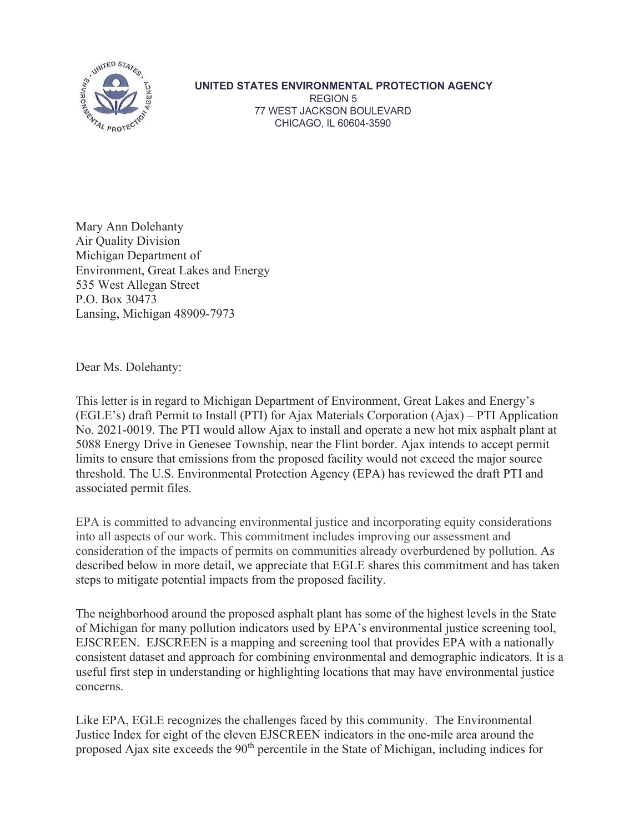

## **UNITED STATES ENVIRONMENTAL PROTECTION AGENCY**  REGION 5 77 WEST JACKSON BOULEVARD CHICAGO, IL 60604-3590

Mary Ann Dolehanty Air Quality Division Michigan Department of Environment, Great Lakes and Energy 535 West Allegan Street P.O. Box 30473 Lansing, Michigan 48909-7973

Dear Ms. Dolehanty:

This letter is in regard to Michigan Department of Environment, Great Lakes and Energy's (EGLE's) draft Permit to Install (PTI) for Ajax Materials Corporation (Ajax) – PTI Application No. 2021-0019. The PTI would allow Ajax to install and operate a new hot mix asphalt plant at 5088 Energy Drive in Genesee Township, near the Flint border. Ajax intends to accept permit limits to ensure that emissions from the proposed facility would not exceed the major source threshold. The U.S. Environmental Protection Agency (EPA) has reviewed the draft PTI and associated permit files.

EPA is committed to advancing environmental justice and incorporating equity considerations into all aspects of our work. This commitment includes improving our assessment and consideration of the impacts of permits on communities already overburdened by pollution. As described below in more detail, we appreciate that EGLE shares this commitment and has taken steps to mitigate potential impacts from the proposed facility.

The neighborhood around the proposed asphalt plant has some of the highest levels in the State of Michigan for many pollution indicators used by EPA's environmental justice screening tool, EJSCREEN. EJSCREEN is a mapping and screening tool that provides EPA with a nationally consistent dataset and approach for combining environmental and demographic indicators. It is a useful first step in understanding or highlighting locations that may have environmental justice concerns.

Like EPA, EGLE recognizes the challenges faced by this community. The Environmental Justice Index for eight of the eleven EJSCREEN indicators in the one-mile area around the proposed Ajax site exceeds the  $90<sup>th</sup>$  percentile in the State of Michigan, including indices for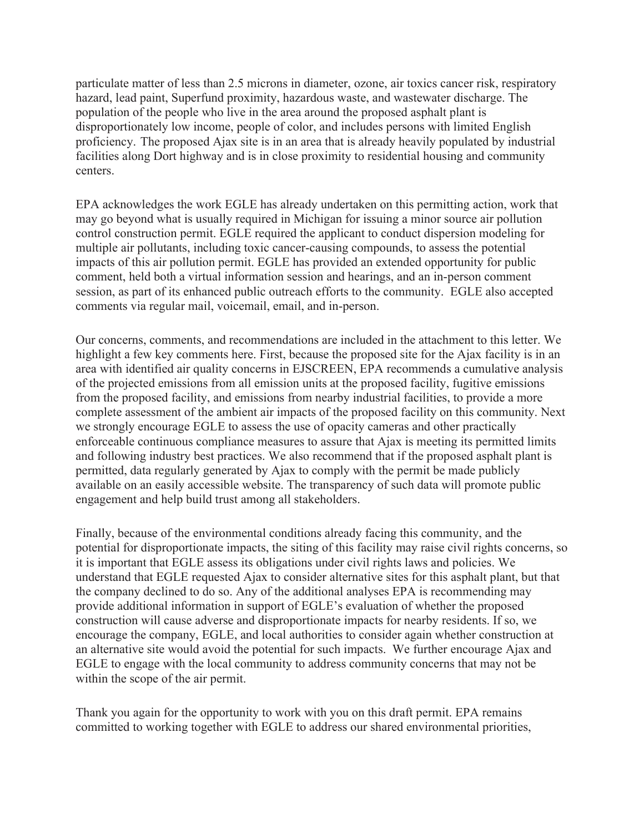particulate matter of less than 2.5 microns in diameter, ozone, air toxics cancer risk, respiratory hazard, lead paint, Superfund proximity, hazardous waste, and wastewater discharge. The population of the people who live in the area around the proposed asphalt plant is disproportionately low income, people of color, and includes persons with limited English proficiency. The proposed Ajax site is in an area that is already heavily populated by industrial facilities along Dort highway and is in close proximity to residential housing and community centers.

EPA acknowledges the work EGLE has already undertaken on this permitting action, work that may go beyond what is usually required in Michigan for issuing a minor source air pollution control construction permit. EGLE required the applicant to conduct dispersion modeling for multiple air pollutants, including toxic cancer-causing compounds, to assess the potential impacts of this air pollution permit. EGLE has provided an extended opportunity for public comment, held both a virtual information session and hearings, and an in-person comment session, as part of its enhanced public outreach efforts to the community. EGLE also accepted comments via regular mail, voicemail, email, and in-person.

Our concerns, comments, and recommendations are included in the attachment to this letter. We highlight a few key comments here. First, because the proposed site for the Ajax facility is in an area with identified air quality concerns in EJSCREEN, EPA recommends a cumulative analysis of the projected emissions from all emission units at the proposed facility, fugitive emissions from the proposed facility, and emissions from nearby industrial facilities, to provide a more complete assessment of the ambient air impacts of the proposed facility on this community. Next we strongly encourage EGLE to assess the use of opacity cameras and other practically enforceable continuous compliance measures to assure that Ajax is meeting its permitted limits and following industry best practices. We also recommend that if the proposed asphalt plant is permitted, data regularly generated by Ajax to comply with the permit be made publicly available on an easily accessible website. The transparency of such data will promote public engagement and help build trust among all stakeholders.

Finally, because of the environmental conditions already facing this community, and the potential for disproportionate impacts, the siting of this facility may raise civil rights concerns, so it is important that EGLE assess its obligations under civil rights laws and policies. We understand that EGLE requested Ajax to consider alternative sites for this asphalt plant, but that the company declined to do so. Any of the additional analyses EPA is recommending may provide additional information in support of EGLE's evaluation of whether the proposed construction will cause adverse and disproportionate impacts for nearby residents. If so, we encourage the company, EGLE, and local authorities to consider again whether construction at an alternative site would avoid the potential for such impacts. We further encourage Ajax and EGLE to engage with the local community to address community concerns that may not be within the scope of the air permit.

Thank you again for the opportunity to work with you on this draft permit. EPA remains committed to working together with EGLE to address our shared environmental priorities,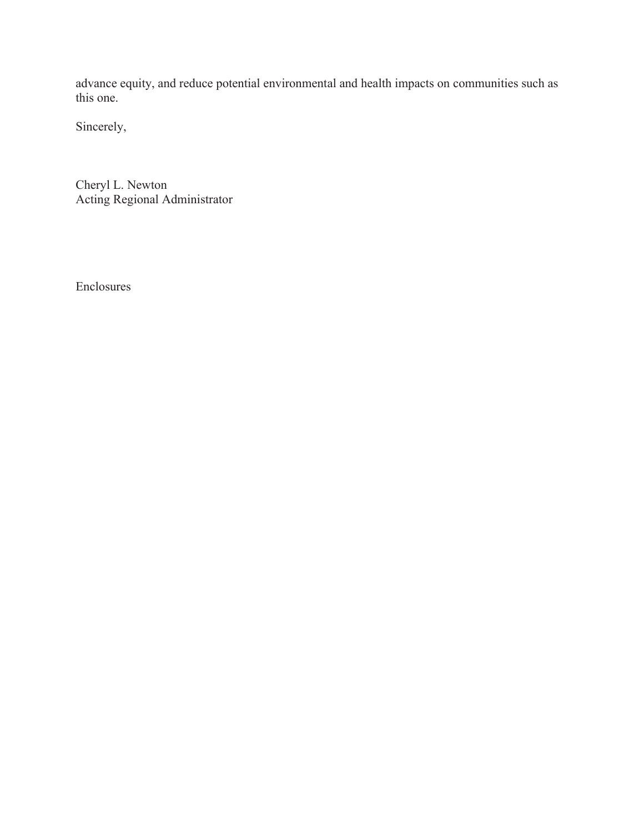advance equity, and reduce potential environmental and health impacts on communities such as this one.

Sincerely,

Cheryl L. Newton Acting Regional Administrator

Enclosures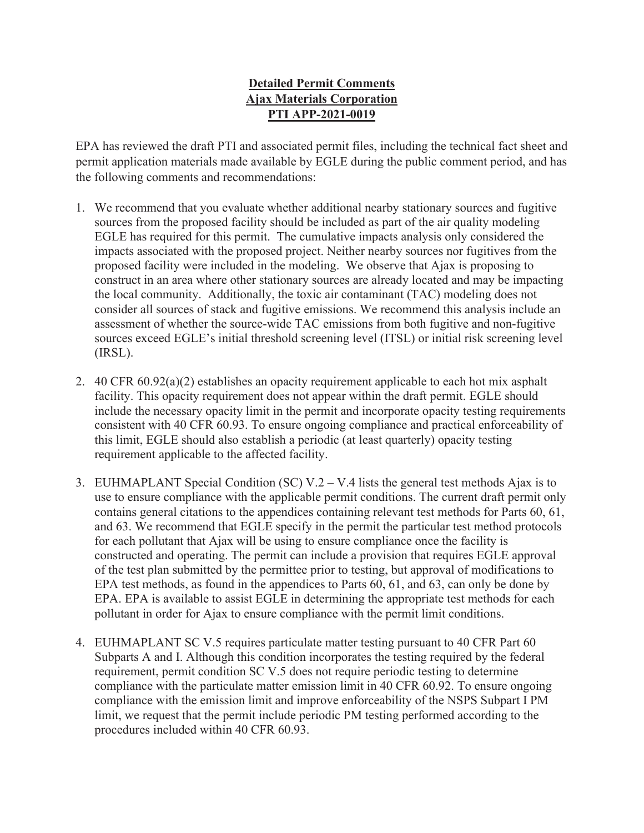## **Detailed Permit Comments Ajax Materials Corporation PTI APP-2021-0019**

EPA has reviewed the draft PTI and associated permit files, including the technical fact sheet and permit application materials made available by EGLE during the public comment period, and has the following comments and recommendations:

- 1. We recommend that you evaluate whether additional nearby stationary sources and fugitive sources from the proposed facility should be included as part of the air quality modeling EGLE has required for this permit. The cumulative impacts analysis only considered the impacts associated with the proposed project. Neither nearby sources nor fugitives from the proposed facility were included in the modeling. We observe that Ajax is proposing to construct in an area where other stationary sources are already located and may be impacting the local community. Additionally, the toxic air contaminant (TAC) modeling does not consider all sources of stack and fugitive emissions. We recommend this analysis include an assessment of whether the source-wide TAC emissions from both fugitive and non-fugitive sources exceed EGLE's initial threshold screening level (ITSL) or initial risk screening level (IRSL).
- 2. 40 CFR 60.92(a)(2) establishes an opacity requirement applicable to each hot mix asphalt facility. This opacity requirement does not appear within the draft permit. EGLE should include the necessary opacity limit in the permit and incorporate opacity testing requirements consistent with 40 CFR 60.93. To ensure ongoing compliance and practical enforceability of this limit, EGLE should also establish a periodic (at least quarterly) opacity testing requirement applicable to the affected facility.
- 3. EUHMAPLANT Special Condition (SC)  $V \cdot 2 V \cdot 4$  lists the general test methods Ajax is to use to ensure compliance with the applicable permit conditions. The current draft permit only contains general citations to the appendices containing relevant test methods for Parts 60, 61, and 63. We recommend that EGLE specify in the permit the particular test method protocols for each pollutant that Ajax will be using to ensure compliance once the facility is constructed and operating. The permit can include a provision that requires EGLE approval of the test plan submitted by the permittee prior to testing, but approval of modifications to EPA test methods, as found in the appendices to Parts 60, 61, and 63, can only be done by EPA. EPA is available to assist EGLE in determining the appropriate test methods for each pollutant in order for Ajax to ensure compliance with the permit limit conditions.
- 4. EUHMAPLANT SC V.5 requires particulate matter testing pursuant to 40 CFR Part 60 Subparts A and I. Although this condition incorporates the testing required by the federal requirement, permit condition SC V.5 does not require periodic testing to determine compliance with the particulate matter emission limit in 40 CFR 60.92. To ensure ongoing compliance with the emission limit and improve enforceability of the NSPS Subpart I PM limit, we request that the permit include periodic PM testing performed according to the procedures included within 40 CFR 60.93.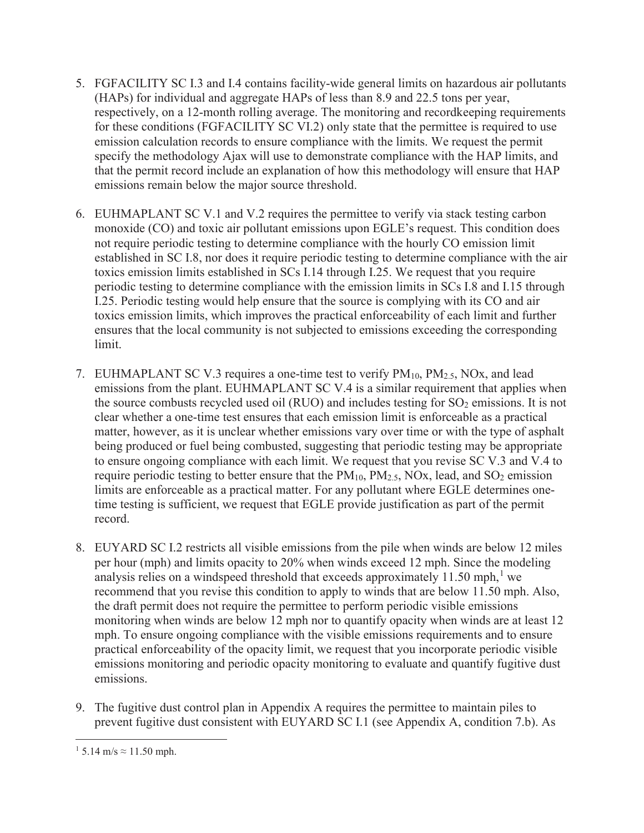- 5. FGFACILITY SC I.3 and I.4 contains facility-wide general limits on hazardous air pollutants (HAPs) for individual and aggregate HAPs of less than 8.9 and 22.5 tons per year, respectively, on a 12-month rolling average. The monitoring and recordkeeping requirements for these conditions (FGFACILITY SC VI.2) only state that the permittee is required to use emission calculation records to ensure compliance with the limits. We request the permit specify the methodology Ajax will use to demonstrate compliance with the HAP limits, and that the permit record include an explanation of how this methodology will ensure that HAP emissions remain below the major source threshold.
- 6. EUHMAPLANT SC V.1 and V.2 requires the permittee to verify via stack testing carbon monoxide (CO) and toxic air pollutant emissions upon EGLE's request. This condition does not require periodic testing to determine compliance with the hourly CO emission limit established in SC I.8, nor does it require periodic testing to determine compliance with the air toxics emission limits established in SCs I.14 through I.25. We request that you require periodic testing to determine compliance with the emission limits in SCs I.8 and I.15 through I.25. Periodic testing would help ensure that the source is complying with its CO and air toxics emission limits, which improves the practical enforceability of each limit and further ensures that the local community is not subjected to emissions exceeding the corresponding limit.
- 7. EUHMAPLANT SC V.3 requires a one-time test to verify  $PM<sub>10</sub>$ ,  $PM<sub>2.5</sub>$ , NOx, and lead emissions from the plant. EUHMAPLANT SC V.4 is a similar requirement that applies when the source combusts recycled used oil (RUO) and includes testing for  $SO_2$  emissions. It is not clear whether a one-time test ensures that each emission limit is enforceable as a practical matter, however, as it is unclear whether emissions vary over time or with the type of asphalt being produced or fuel being combusted, suggesting that periodic testing may be appropriate to ensure ongoing compliance with each limit. We request that you revise SC V.3 and V.4 to require periodic testing to better ensure that the  $PM_{10}$ ,  $PM_{2.5}$ , NOx, lead, and SO<sub>2</sub> emission limits are enforceable as a practical matter. For any pollutant where EGLE determines onetime testing is sufficient, we request that EGLE provide justification as part of the permit record.
- 8. EUYARD SC I.2 restricts all visible emissions from the pile when winds are below 12 miles per hour (mph) and limits opacity to 20% when winds exceed 12 mph. Since the modeling analysis relies on a windspeed threshold that exceeds approximately  $11.50$  mph,<sup>1</sup> we recommend that you revise this condition to apply to winds that are below 11.50 mph. Also, the draft permit does not require the permittee to perform periodic visible emissions monitoring when winds are below 12 mph nor to quantify opacity when winds are at least 12 mph. To ensure ongoing compliance with the visible emissions requirements and to ensure practical enforceability of the opacity limit, we request that you incorporate periodic visible emissions monitoring and periodic opacity monitoring to evaluate and quantify fugitive dust emissions.
- 9. The fugitive dust control plan in Appendix A requires the permittee to maintain piles to prevent fugitive dust consistent with EUYARD SC I.1 (see Appendix A, condition 7.b). As

 $1\,5.14 \text{ m/s} \approx 11.50 \text{ mph.}$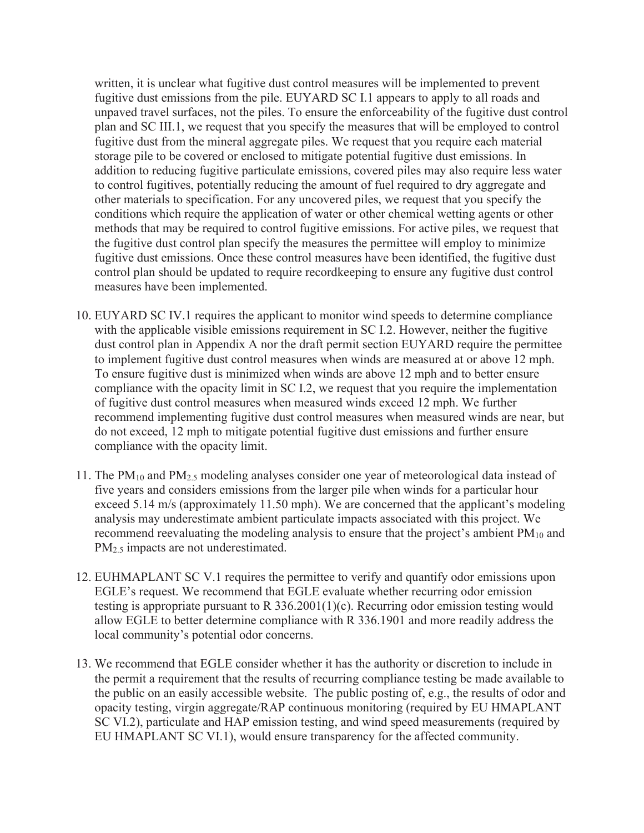written, it is unclear what fugitive dust control measures will be implemented to prevent fugitive dust emissions from the pile. EUYARD SC I.1 appears to apply to all roads and unpaved travel surfaces, not the piles. To ensure the enforceability of the fugitive dust control plan and SC III.1, we request that you specify the measures that will be employed to control fugitive dust from the mineral aggregate piles. We request that you require each material storage pile to be covered or enclosed to mitigate potential fugitive dust emissions. In addition to reducing fugitive particulate emissions, covered piles may also require less water to control fugitives, potentially reducing the amount of fuel required to dry aggregate and other materials to specification. For any uncovered piles, we request that you specify the conditions which require the application of water or other chemical wetting agents or other methods that may be required to control fugitive emissions. For active piles, we request that the fugitive dust control plan specify the measures the permittee will employ to minimize fugitive dust emissions. Once these control measures have been identified, the fugitive dust control plan should be updated to require recordkeeping to ensure any fugitive dust control measures have been implemented.

- 10. EUYARD SC IV.1 requires the applicant to monitor wind speeds to determine compliance with the applicable visible emissions requirement in SC I.2. However, neither the fugitive dust control plan in Appendix A nor the draft permit section EUYARD require the permittee to implement fugitive dust control measures when winds are measured at or above 12 mph. To ensure fugitive dust is minimized when winds are above 12 mph and to better ensure compliance with the opacity limit in SC I.2, we request that you require the implementation of fugitive dust control measures when measured winds exceed 12 mph. We further recommend implementing fugitive dust control measures when measured winds are near, but do not exceed, 12 mph to mitigate potential fugitive dust emissions and further ensure compliance with the opacity limit.
- 11. The  $PM_{10}$  and  $PM_{2.5}$  modeling analyses consider one year of meteorological data instead of five years and considers emissions from the larger pile when winds for a particular hour exceed 5.14 m/s (approximately 11.50 mph). We are concerned that the applicant's modeling analysis may underestimate ambient particulate impacts associated with this project. We recommend reevaluating the modeling analysis to ensure that the project's ambient PM<sub>10</sub> and PM<sub>2.5</sub> impacts are not underestimated.
- 12. EUHMAPLANT SC V.1 requires the permittee to verify and quantify odor emissions upon EGLE's request. We recommend that EGLE evaluate whether recurring odor emission testing is appropriate pursuant to R 336.2001(1)(c). Recurring odor emission testing would allow EGLE to better determine compliance with R 336.1901 and more readily address the local community's potential odor concerns.
- 13. We recommend that EGLE consider whether it has the authority or discretion to include in the permit a requirement that the results of recurring compliance testing be made available to the public on an easily accessible website. The public posting of, e.g., the results of odor and opacity testing, virgin aggregate/RAP continuous monitoring (required by EU HMAPLANT SC VI.2), particulate and HAP emission testing, and wind speed measurements (required by EU HMAPLANT SC VI.1), would ensure transparency for the affected community.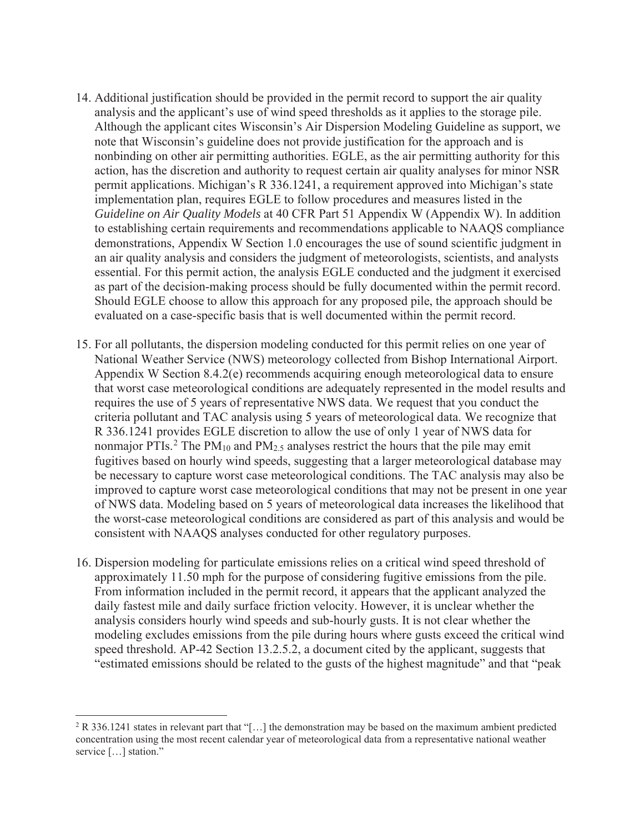- 14. Additional justification should be provided in the permit record to support the air quality analysis and the applicant's use of wind speed thresholds as it applies to the storage pile. Although the applicant cites Wisconsin's Air Dispersion Modeling Guideline as support, we note that Wisconsin's guideline does not provide justification for the approach and is nonbinding on other air permitting authorities. EGLE, as the air permitting authority for this action, has the discretion and authority to request certain air quality analyses for minor NSR permit applications. Michigan's R 336.1241, a requirement approved into Michigan's state implementation plan, requires EGLE to follow procedures and measures listed in the *Guideline on Air Quality Models* at 40 CFR Part 51 Appendix W (Appendix W). In addition to establishing certain requirements and recommendations applicable to NAAQS compliance demonstrations, Appendix W Section 1.0 encourages the use of sound scientific judgment in an air quality analysis and considers the judgment of meteorologists, scientists, and analysts essential. For this permit action, the analysis EGLE conducted and the judgment it exercised as part of the decision-making process should be fully documented within the permit record. Should EGLE choose to allow this approach for any proposed pile, the approach should be evaluated on a case-specific basis that is well documented within the permit record.
- 15. For all pollutants, the dispersion modeling conducted for this permit relies on one year of National Weather Service (NWS) meteorology collected from Bishop International Airport. Appendix W Section 8.4.2(e) recommends acquiring enough meteorological data to ensure that worst case meteorological conditions are adequately represented in the model results and requires the use of 5 years of representative NWS data. We request that you conduct the criteria pollutant and TAC analysis using 5 years of meteorological data. We recognize that R 336.1241 provides EGLE discretion to allow the use of only 1 year of NWS data for nonmajor PTIs.<sup>2</sup> The PM<sub>10</sub> and PM<sub>2.5</sub> analyses restrict the hours that the pile may emit fugitives based on hourly wind speeds, suggesting that a larger meteorological database may be necessary to capture worst case meteorological conditions. The TAC analysis may also be improved to capture worst case meteorological conditions that may not be present in one year of NWS data. Modeling based on 5 years of meteorological data increases the likelihood that the worst-case meteorological conditions are considered as part of this analysis and would be consistent with NAAQS analyses conducted for other regulatory purposes.
- 16. Dispersion modeling for particulate emissions relies on a critical wind speed threshold of approximately 11.50 mph for the purpose of considering fugitive emissions from the pile. From information included in the permit record, it appears that the applicant analyzed the daily fastest mile and daily surface friction velocity. However, it is unclear whether the analysis considers hourly wind speeds and sub-hourly gusts. It is not clear whether the modeling excludes emissions from the pile during hours where gusts exceed the critical wind speed threshold. AP-42 Section 13.2.5.2, a document cited by the applicant, suggests that "estimated emissions should be related to the gusts of the highest magnitude" and that "peak

<sup>&</sup>lt;sup>2</sup> R 336.1241 states in relevant part that "[...] the demonstration may be based on the maximum ambient predicted concentration using the most recent calendar year of meteorological data from a representative national weather service [...] station."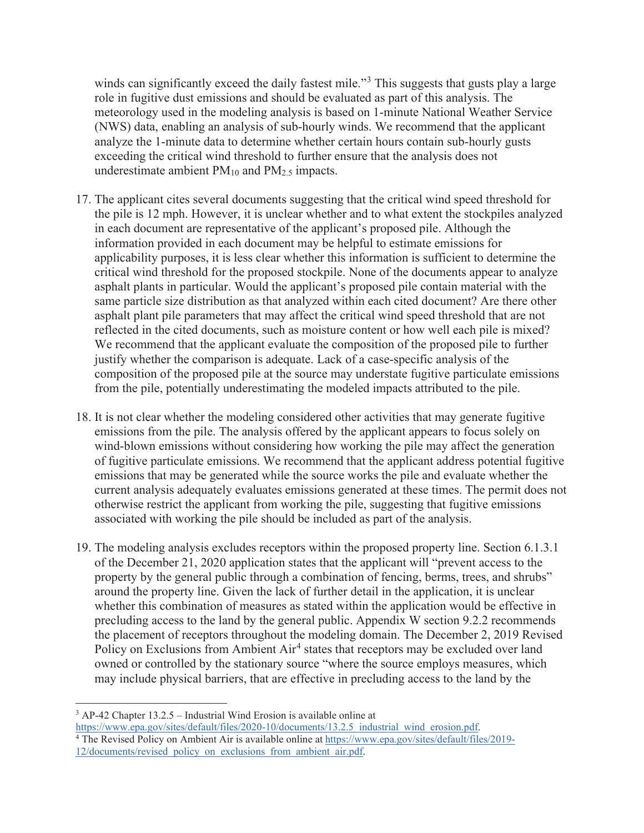winds can significantly exceed the daily fastest mile."<sup>3</sup> This suggests that gusts play a large role in fugitive dust emissions and should be evaluated as part of this analysis. The meteorology used in the modeling analysis is based on 1-minute National Weather Service (NWS) data, enabling an analysis of sub-hourly winds. We recommend that the applicant analyze the 1-minute data to determine whether certain hours contain sub-hourly gusts exceeding the critical wind threshold to further ensure that the analysis does not underestimate ambient  $PM_{10}$  and  $PM_{2.5}$  impacts.

- 17. The applicant cites several documents suggesting that the critical wind speed threshold for the pile is 12 mph. However, it is unclear whether and to what extent the stockpiles analyzed in each document are representative of the applicant's proposed pile. Although the information provided in each document may be helpful to estimate emissions for applicability purposes, it is less clear whether this information is sufficient to determine the critical wind threshold for the proposed stockpile. None of the documents appear to analyze asphalt plants in particular. Would the applicant's proposed pile contain material with the same particle size distribution as that analyzed within each cited document? Are there other asphalt plant pile parameters that may affect the critical wind speed threshold that are not reflected in the cited documents, such as moisture content or how well each pile is mixed? We recommend that the applicant evaluate the composition of the proposed pile to further justify whether the comparison is adequate. Lack of a case-specific analysis of the composition of the proposed pile at the source may understate fugitive particulate emissions from the pile, potentially underestimating the modeled impacts attributed to the pile.
- 18. It is not clear whether the modeling considered other activities that may generate fugitive emissions from the pile. The analysis offered by the applicant appears to focus solely on wind-blown emissions without considering how working the pile may affect the generation of fugitive particulate emissions. We recommend that the applicant address potential fugitive emissions that may be generated while the source works the pile and evaluate whether the current analysis adequately evaluates emissions generated at these times. The permit does not otherwise restrict the applicant from working the pile, suggesting that fugitive emissions associated with working the pile should be included as part of the analysis.
- 19. The modeling analysis excludes receptors within the proposed property line. Section 6.1.3.1 of the December 21, 2020 application states that the applicant will "prevent access to the property by the general public through a combination of fencing, berms, trees, and shrubs" around the property line. Given the lack of further detail in the application, it is unclear whether this combination of measures as stated within the application would be effective in precluding access to the land by the general public. Appendix W section 9.2.2 recommends the placement of receptors throughout the modeling domain. The December 2, 2019 Revised Policy on Exclusions from Ambient Air<sup>4</sup> states that receptors may be excluded over land owned or controlled by the stationary source "where the source employs measures, which may include physical barriers, that are effective in precluding access to the land by the

<sup>4</sup> The Revised Policy on Ambient Air is available online at https://www.epa.gov/sites/default/files/2019-12/documents/revised policy on exclusions from ambient air.pdf.

<sup>&</sup>lt;sup>3</sup> AP-42 Chapter 13.2.5 – Industrial Wind Erosion is available online at

https://www.epa.gov/sites/default/files/2020-10/documents/13.2.5 industrial wind erosion.pdf.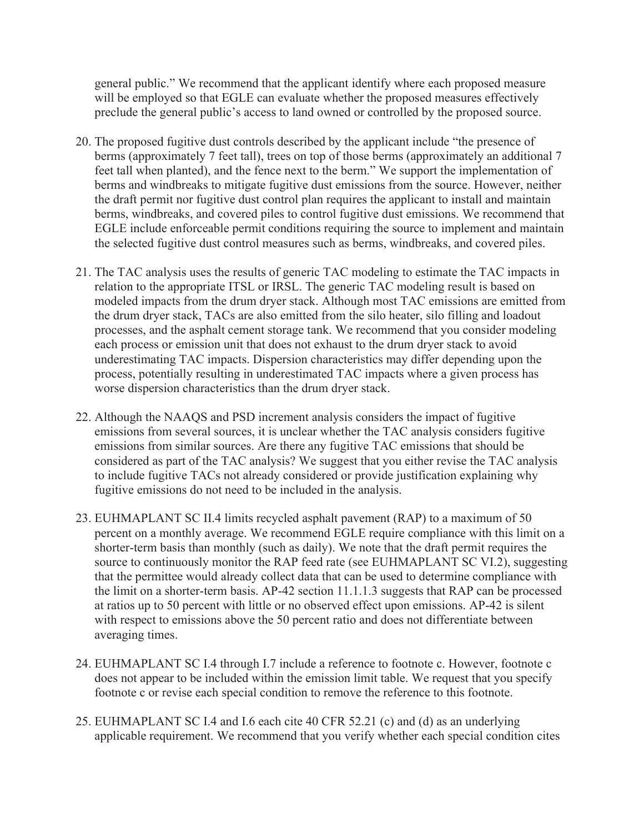general public." We recommend that the applicant identify where each proposed measure will be employed so that EGLE can evaluate whether the proposed measures effectively preclude the general public's access to land owned or controlled by the proposed source.

- 20. The proposed fugitive dust controls described by the applicant include "the presence of berms (approximately 7 feet tall), trees on top of those berms (approximately an additional 7 feet tall when planted), and the fence next to the berm." We support the implementation of berms and windbreaks to mitigate fugitive dust emissions from the source. However, neither the draft permit nor fugitive dust control plan requires the applicant to install and maintain berms, windbreaks, and covered piles to control fugitive dust emissions. We recommend that EGLE include enforceable permit conditions requiring the source to implement and maintain the selected fugitive dust control measures such as berms, windbreaks, and covered piles.
- 21. The TAC analysis uses the results of generic TAC modeling to estimate the TAC impacts in relation to the appropriate ITSL or IRSL. The generic TAC modeling result is based on modeled impacts from the drum dryer stack. Although most TAC emissions are emitted from the drum dryer stack, TACs are also emitted from the silo heater, silo filling and loadout processes, and the asphalt cement storage tank. We recommend that you consider modeling each process or emission unit that does not exhaust to the drum dryer stack to avoid underestimating TAC impacts. Dispersion characteristics may differ depending upon the process, potentially resulting in underestimated TAC impacts where a given process has worse dispersion characteristics than the drum dryer stack.
- 22. Although the NAAQS and PSD increment analysis considers the impact of fugitive emissions from several sources, it is unclear whether the TAC analysis considers fugitive emissions from similar sources. Are there any fugitive TAC emissions that should be considered as part of the TAC analysis? We suggest that you either revise the TAC analysis to include fugitive TACs not already considered or provide justification explaining why fugitive emissions do not need to be included in the analysis.
- 23. EUHMAPLANT SC II.4 limits recycled asphalt pavement (RAP) to a maximum of 50 percent on a monthly average. We recommend EGLE require compliance with this limit on a shorter-term basis than monthly (such as daily). We note that the draft permit requires the source to continuously monitor the RAP feed rate (see EUHMAPLANT SC VI.2), suggesting that the permittee would already collect data that can be used to determine compliance with the limit on a shorter-term basis. AP-42 section 11.1.1.3 suggests that RAP can be processed at ratios up to 50 percent with little or no observed effect upon emissions. AP-42 is silent with respect to emissions above the 50 percent ratio and does not differentiate between averaging times.
- 24. EUHMAPLANT SC I.4 through I.7 include a reference to footnote c. However, footnote c does not appear to be included within the emission limit table. We request that you specify footnote c or revise each special condition to remove the reference to this footnote.
- 25. EUHMAPLANT SC I.4 and I.6 each cite 40 CFR 52.21 (c) and (d) as an underlying applicable requirement. We recommend that you verify whether each special condition cites